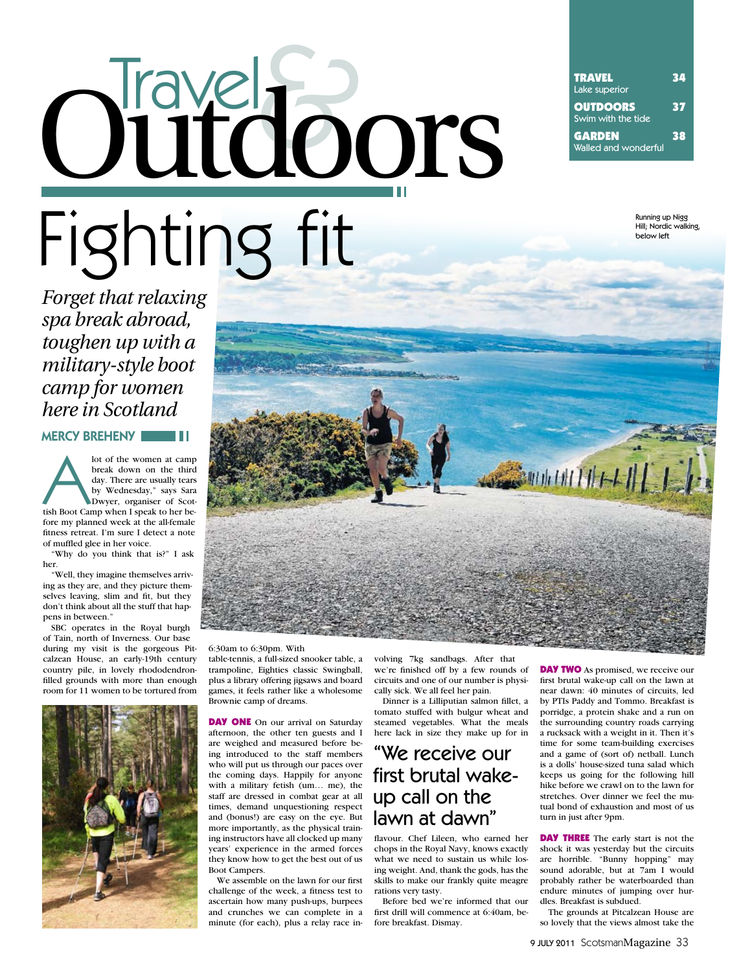# TRAVEL 34<br>Lake superior<br> **OUTDOORS** Swim with the tide<br> **GARDEN**<br>
Walled and wonderful<br>
<sup>38</sup><br>
Walled and wonderful Fighting fit Outdoors

Lake superior **OUTDOORS** 37 Swim with the tide GARDEN 38 Walled and wonderful

> Running up Nigg Hill; Nordic walking, below left

*Forget that relaxing spa break abroad, toughen up with a military-style boot camp for women here in Scotland*

MERCY BREHENY **NEWS II** 

Iot of the women at camp<br>
break down on the third<br>
day. There are usually tears<br>
by Wednesday," says Sara<br>
Dwyer, organiser of Scot-<br>
tish Boot Camp when I speak to her bebreak down on the third day. There are usually tears by Wednesday," says Sara Dwyer, organiser of Scotfore my planned week at the all-female fitness retreat. I'm sure I detect a note of muffled glee in her voice.

"Why do you think that is?" I ask her.

"Well, they imagine themselves arriving as they are, and they picture themselves leaving, slim and fit, but they don't think about all the stuff that happens in between."

SBC operates in the Royal burgh of Tain, north of Inverness. Our base during my visit is the gorgeous Pitcalzean House, an early-19th century country pile, in lovely rhododendronfilled grounds with more than enough room for 11 women to be tortured from





6:30am to 6:30pm. With

table-tennis, a full-sized snooker table, a trampoline, Eighties classic Swingball, plus a library offering jigsaws and board games, it feels rather like a wholesome Brownie camp of dreams.

**DAY ONE** On our arrival on Saturday afternoon, the other ten guests and I are weighed and measured before being introduced to the staff members who will put us through our paces over the coming days. Happily for anyone with a military fetish (um… me), the staff are dressed in combat gear at all times, demand unquestioning respect and (bonus!) are easy on the eye. But more importantly, as the physical training instructors have all clocked up many years' experience in the armed forces they know how to get the best out of us Boot Campers.

We assemble on the lawn for our first challenge of the week, a fitness test to ascertain how many push-ups, burpees and crunches we can complete in a minute (for each), plus a relay race involving 7kg sandbags. After that we're finished off by a few rounds of circuits and one of our number is physically sick. We all feel her pain.

Dinner is a Lilliputian salmon fillet, a tomato stuffed with bulgur wheat and steamed vegetables. What the meals here lack in size they make up for in

### 'We receive our first brutal wakeup call on the lawn at dawn"

flavour. Chef Lileen, who earned her chops in the Royal Navy, knows exactly what we need to sustain us while losing weight. And, thank the gods, has the skills to make our frankly quite meagre rations very tasty.

Before bed we're informed that our first drill will commence at 6:40am, before breakfast. Dismay.

**DAY TWO** As promised, we receive our first brutal wake-up call on the lawn at near dawn: 40 minutes of circuits, led by PTIs Paddy and Tommo. Breakfast is porridge, a protein shake and a run on the surrounding country roads carrying a rucksack with a weight in it. Then it's time for some team-building exercises and a game of (sort of) netball. Lunch is a dolls' house-sized tuna salad which keeps us going for the following hill hike before we crawl on to the lawn for stretches. Over dinner we feel the mutual bond of exhaustion and most of us turn in just after 9pm.

**DAY THREE** The early start is not the shock it was yesterday but the circuits are horrible. "Bunny hopping" may sound adorable, but at 7am I would probably rather be waterboarded than endure minutes of jumping over hurdles. Breakfast is subdued.

The grounds at Pitcalzean House are so lovely that the views almost take the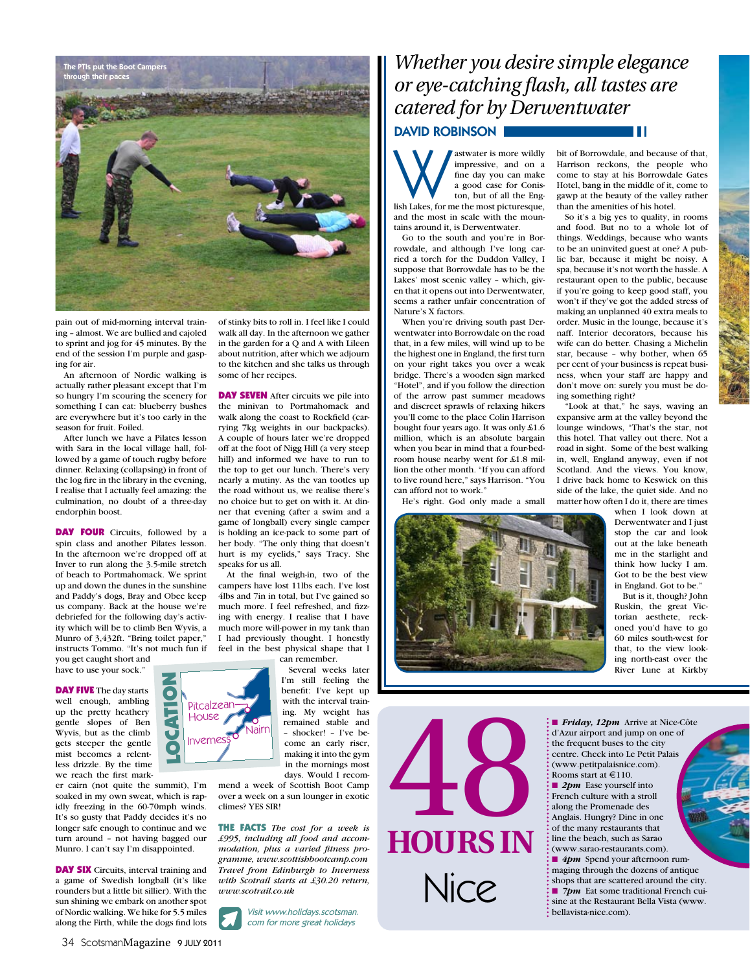

pain out of mid-morning interval training – almost. We are bullied and cajoled to sprint and jog for 45 minutes. By the end of the session I'm purple and gasping for air.

An afternoon of Nordic walking is actually rather pleasant except that I'm so hungry I'm scouring the scenery for something I can eat: blueberry bushes are everywhere but it's too early in the season for fruit. Foiled.

After lunch we have a Pilates lesson with Sara in the local village hall, followed by a game of touch rugby before dinner. Relaxing (collapsing) in front of the log fire in the library in the evening, I realise that I actually feel amazing: the culmination, no doubt of a three-day endorphin boost.

DAY FOUR Circuits, followed by a spin class and another Pilates lesson. In the afternoon we're dropped off at Inver to run along the 3.5-mile stretch of beach to Portmahomack. We sprint up and down the dunes in the sunshine and Paddy's dogs, Bray and Obee keep us company. Back at the house we're debriefed for the following day's activity which will be to climb Ben Wyvis, a Munro of 3,432ft. "Bring toilet paper," instructs Tommo. "It's not much fun if you get caught short and

have to use your sock."

**DAY FIVE** The day starts well enough, ambling up the pretty heathery gentle slopes of Ben Wyvis, but as the climb gets steeper the gentle mist becomes a relentless drizzle. By the time we reach the first mark-

er cairn (not quite the summit), I'm soaked in my own sweat, which is rapidly freezing in the 60-70mph winds. It's so gusty that Paddy decides it's no longer safe enough to continue and we turn around – not having bagged our Munro. I can't say I'm disappointed.

**DAY SIX** Circuits, interval training and a game of Swedish longball (it's like rounders but a little bit sillier). With the sun shining we embark on another spot of Nordic walking. We hike for 5.5 miles along the Firth, while the dogs find lots

can remember.  $\bullet$ Invernes Nairn **Pitcalzear House** 

with the interval training. My weight has remained stable and – shocker! – I've become an early riser, making it into the gym in the mornings most days. Would I recom-

walk all day. In the afternoon we gather in the garden for a Q and A with Lileen about nutrition, after which we adjourn to the kitchen and she talks us through

**DAY SEVEN** After circuits we pile into the minivan to Portmahomack and walk along the coast to Rockfield (carrying 7kg weights in our backpacks). A couple of hours later we're dropped off at the foot of Nigg Hill (a very steep hill) and informed we have to run to the top to get our lunch. There's very nearly a mutiny. As the van tootles up the road without us, we realise there's no choice but to get on with it. At dinner that evening (after a swim and a game of longball) every single camper is holding an ice-pack to some part of her body. "The only thing that doesn't hurt is my eyelids," says Tracy. She

At the final weigh-in, two of the campers have lost 11lbs each. I've lost 4lbs and 7in in total, but I've gained so much more. I feel refreshed, and fizzing with energy. I realise that I have much more will-power in my tank than I had previously thought. I honestly feel in the best physical shape that I

> Several weeks later I'm still feeling the benefit: I've kept up

some of her recipes.

speaks for us all.

mend a week of Scottish Boot Camp over a week on a sun lounger in exotic climes? YES SIR!

The Facts *The cost for a week is £995, including all food and accommodation, plus a varied fitness programme, www.scottishbootcamp.com Travel from Edinburgh to Inverness with Scotrail starts at £30.20 return, www.scotrail.co.uk* 

Visit www.holidays.scotsman. com for more great holidays

## *Whether you desire simple elegance or eye-catching flash, all tastes are catered for by Derwentwater*

### DAVID ROBINSON |

Mastwater is more wildly<br>
impressive, and on a<br>
fine day you can make<br>
a good case for Conis-<br>
ton, but of all the Eng-<br>
lish Lakes, for me the most picturesque, impressive, and on a fine day you can make a good case for Coniston, but of all the Engand the most in scale with the mountains around it, is Derwentwater.

Go to the south and you're in Borrowdale, and although I've long carried a torch for the Duddon Valley, I suppose that Borrowdale has to be the Lakes' most scenic valley – which, given that it opens out into Derwentwater, seems a rather unfair concentration of Nature's X factors.

When you're driving south past Derwentwater into Borrowdale on the road that, in a few miles, will wind up to be the highest one in England, the first turn on your right takes you over a weak bridge. There's a wooden sign marked "Hotel", and if you follow the direction of the arrow past summer meadows and discreet sprawls of relaxing hikers you'll come to the place Colin Harrison bought four years ago. It was only £1.6 million, which is an absolute bargain when you bear in mind that a four-bedroom house nearby went for £1.8 million the other month. "If you can afford to live round here," says Harrison. "You can afford not to work."

He's right. God only made a small



**HOURS IN** 48 Nice

bit of Borrowdale, and because of that, Harrison reckons, the people who come to stay at his Borrowdale Gates Hotel, bang in the middle of it, come to gawp at the beauty of the valley rather than the amenities of his hotel.

Ш

So it's a big yes to quality, in rooms and food. But no to a whole lot of things. Weddings, because who wants to be an uninvited guest at one? A public bar, because it might be noisy. A spa, because it's not worth the hassle. A restaurant open to the public, because if you're going to keep good staff, you won't if they've got the added stress of making an unplanned 40 extra meals to order. Music in the lounge, because it's naff. Interior decorators, because his wife can do better. Chasing a Michelin star, because – why bother, when 65 per cent of your business is repeat business, when your staff are happy and don't move on: surely you must be doing something right?

"Look at that," he says, waving an expansive arm at the valley beyond the lounge windows, "That's the star, not this hotel. That valley out there. Not a road in sight. Some of the best walking in, well, England anyway, even if not Scotland. And the views. You know, I drive back home to Keswick on this side of the lake, the quiet side. And no matter how often I do it, there are times

when I look down at Derwentwater and I just stop the car and look out at the lake beneath me in the starlight and think how lucky I am. Got to be the best view in England. Got to be."

But is it, though? John Ruskin, the great Victorian aesthete, reckoned you'd have to go 60 miles south-west for that, to the view looking north-east over the River Lune at Kirkby

■ *Friday, 12pm* Arrive at Nice-Côte d'Azur airport and jump on one of the frequent buses to the city centre. Check into Le Petit Palais (www.petitpalaisnice.com). Rooms start at  $\text{\textsterling}110$ . ■ 2*pm* Ease yourself into French culture with a stroll along the Promenade des Anglais. Hungry? Dine in one of the many restaurants that line the beach, such as Sarao (www.sarao-restaurants.com). ■ 4pm Spend your afternoon rummaging through the dozens of antique shops that are scattered around the city. ■ 7pm Eat some traditional French cuisine at the Restaurant Bella Vista (www. : bellavista-nice.com).